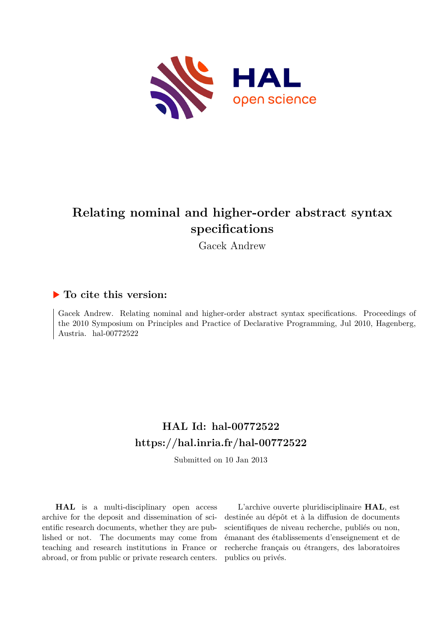

# **Relating nominal and higher-order abstract syntax specifications**

Gacek Andrew

### **To cite this version:**

Gacek Andrew. Relating nominal and higher-order abstract syntax specifications. Proceedings of the 2010 Symposium on Principles and Practice of Declarative Programming, Jul 2010, Hagenberg, Austria.  $hal-00772522$ 

## **HAL Id: hal-00772522 <https://hal.inria.fr/hal-00772522>**

Submitted on 10 Jan 2013

**HAL** is a multi-disciplinary open access archive for the deposit and dissemination of scientific research documents, whether they are published or not. The documents may come from teaching and research institutions in France or abroad, or from public or private research centers.

L'archive ouverte pluridisciplinaire **HAL**, est destinée au dépôt et à la diffusion de documents scientifiques de niveau recherche, publiés ou non, émanant des établissements d'enseignement et de recherche français ou étrangers, des laboratoires publics ou privés.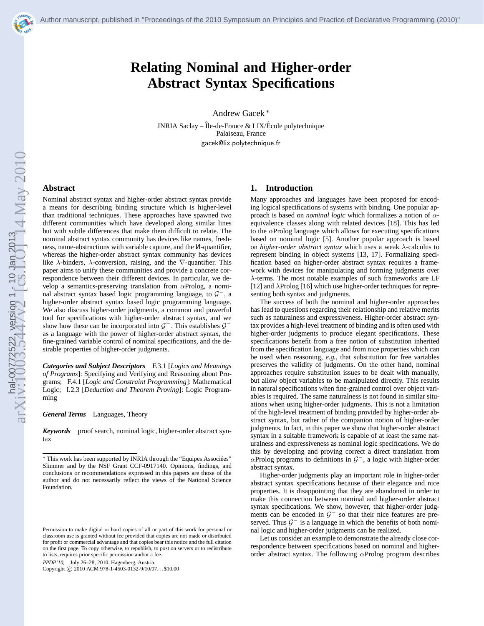

## **Relating Nominal and Higher-order Abstract Syntax Specifications**

Andrew Gacek <sup>∗</sup>

INRIA Saclay – Île-de-France  $&$  LIX/École polytechnique Palaiseau, France gacek@lix.polytechnique.fr

#### **Abstract**

Nominal abstract syntax and higher-order abstract syntax provide a means for describing binding structure which is higher-level than traditional techniques. These approaches have spawned two different communities which have developed along similar lines but with subtle differences that make them difficult to relate. The nominal abstract syntax community has devices like names, freshness, name-abstractions with variable capture, and the <sup>N</sup>-quantifier, whereas the higher-order abstract syntax community has devices like  $\lambda$ -binders,  $\lambda$ -conversion, raising, and the  $\nabla$ -quantifier. This paper aims to unify these communities and provide a concrete correspondence between their different devices. In particular, we develop a semantics-preserving translation from  $\alpha$ Prolog, a nominal abstract syntax based logic programming language, to  $G^-$ , a higher-order abstract syntax based logic programming language. We also discuss higher-order judgments, a common and powerful tool for specifications with higher-order abstract syntax, and we show how these can be incorporated into  $\mathcal{G}^-$ . This establishes  $\mathcal{G}^$ as a language with the power of higher-order abstract syntax, the fine-grained variable control of nominal specifications, and the desirable properties of higher-order judgments.

*Categories and Subject Descriptors* F.3.1 [*Logics and Meanings of Programs*]: Specifying and Verifying and Reasoning about Programs; F.4.1 [*Logic and Constraint Programming*]: Mathematical Logic; I.2.3 [*Deduction and Theorem Proving*]: Logic Programming

*General Terms* Languages, Theory

*Keywords* proof search, nominal logic, higher-order abstract syntax

PPDP'10, July 26–28, 2010, Hagenberg, Austria.

Copyright © 2010 ACM 978-1-4503-0132-9/10/07... \$10.00

#### **1. Introduction**

Many approaches and languages have been proposed for encoding logical specifications of systems with binding. One popular approach is based on *nominal logic* which formalizes a notion of αequivalence classes along with related devices [\[18](#page-10-0)]. This has led to the  $\alpha$ Prolog language which allows for executing specifications based on nominal logic [\[5](#page-9-0)]. Another popular approach is based on *higher-order abstract syntax* which uses a weak λ-calculus to represent binding in object systems [\[13](#page-9-0), [17\]](#page-10-0). Formalizing specification based on higher-order abstract syntax requires a framework with devices for manipulating and forming judgments over λ-terms. The most notable examples of such frameworks are LF [\[12\]](#page-9-0) and λProlog [\[16](#page-10-0)] which use higher-order techniques for representing both syntax and judgments.

The success of both the nominal and higher-order approaches has lead to questions regarding their relationship and relative merits such as naturalness and expressiveness. Higher-order abstract syntax provides a high-level treatment of binding and is often used with higher-order judgments to produce elegant specifications. These specifications benefit from a free notion of substitution inherited from the specification language and from nice properties which can be used when reasoning, *e.g.*, that substitution for free variables preserves the validity of judgments. On the other hand, nominal approaches require substitution issues to be dealt with manually, but allow object variables to be manipulated directly. This results in natural specifications when fine-grained control over object variables is required. The same naturalness is not found in similar situations when using higher-order judgments. This is not a limitation of the high-level treatment of binding provided by higher-order abstract syntax, but rather of the companion notion of higher-order judgments. In fact, in this paper we show that higher-order abstract syntax in a suitable framework is capable of at least the same naturalness and expressiveness as nominal logic specifications. We do this by developing and proving correct a direct translation from  $\alpha$ Prolog programs to definitions in  $\mathcal{G}^-$ , a logic with higher-order abstract syntax.

Higher-order judgments play an important role in higher-order abstract syntax specifications because of their elegance and nice properties. It is disappointing that they are abandoned in order to make this connection between nominal and higher-order abstract syntax specifications. We show, however, that higher-order judgments can be encoded in  $G^-$  so that their nice features are preserved. Thus  $G^-$  is a language in which the benefits of both nominal logic and higher-order judgments can be realized.

Let us consider an example to demonstrate the already close correspondence between specifications based on nominal and higherorder abstract syntax. The following  $\alpha$ Prolog program describes

<sup>\*</sup> This work has been supported by INRIA through the "Equipes Associées" Slimmer and by the NSF Grant CCF-0917140. Opinions, findings, and conclusions or recommendations expressed in this papers are those of the author and do not necessarily reflect the views of the National Science Foundation.

Permission to make digital or hard copies of all or part of this work for personal or classroom use is granted without fee provided that copies are not made or distributed for profit or commercial advantage and that copies bear this notice and the full citation on the first page. To copy otherwise, to republish, to post on servers or to redistribute to lists, requires prior specific permission and/or a fee.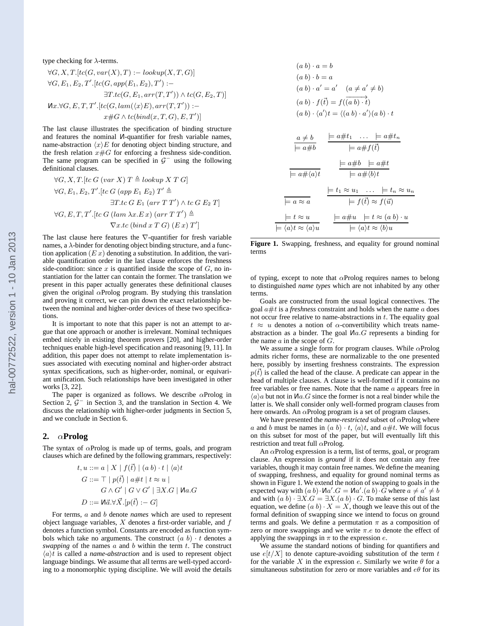type checking for  $\lambda$ -terms.

$$
\forall G, X, T. [tc(G, var(X), T) := lookup(X, T, G)]
$$
  
\n
$$
\forall G, E_1, E_2, T'. [tc(G, app(E_1, E_2), T') :=
$$
  
\n
$$
\exists T. tc(G, E_1, arr(T, T')) \land tc(G, E_2, T)]
$$
  
\n
$$
\forall x. \forall G, E, T, T'. [tc(G, lam(\langle x \rangle E), arr(T, T')) :=
$$
  
\n
$$
x \#G \land tc(bind(x, T, G), E, T')]
$$

The last clause illustrates the specification of binding structure and features the nominal <sup>N</sup>-quantifier for fresh variable names, name-abstraction  $\langle x \rangle E$  for denoting object binding structure, and the fresh relation  $x \# G$  for enforcing a freshness side-condition. The same program can be specified in  $\mathcal{G}^-$  using the following definitional clauses.

$$
\forall G, X, T. [tc G (var X) T \triangleq lookup X T G]
$$
  
\n
$$
\forall G, E_1, E_2, T'. [tc G (app E_1 E_2) T' \triangleq
$$
  
\n
$$
\exists T. tc G E_1 (arr T T') \land tc G E_2 T]
$$
  
\n
$$
\forall G, E, T, T'. [tc G (lam \lambda x. Ex) (arr T T') \triangleq
$$
  
\n
$$
\nabla x. tc (bind x T G) (Ex) T']
$$

The last clause here features the ∇-quantifier for fresh variable names, a  $\lambda$ -binder for denoting object binding structure, and a function application  $(E x)$  denoting a substitution. In addition, the variable quantification order in the last clause enforces the freshness side-condition: since  $x$  is quantified inside the scope of  $G$ , no instantiation for the latter can contain the former. The translation we present in this paper actually generates these definitional clauses given the original  $\alpha$ Prolog program. By studying this translation and proving it correct, we can pin down the exact relationship between the nominal and higher-order devices of these two specifications.

It is important to note that this paper is not an attempt to argue that one approach or another is irrelevant. Nominal techniques embed nicely in existing theorem provers [\[20](#page-10-0)], and higher-order techniques enable high-level specification and reasoning [\[9, 11](#page-9-0)]. In addition, this paper does not attempt to relate implementation issues associated with executing nominal and higher-order abstract syntax specifications, such as higher-order, nominal, or equivariant unification. Such relationships have been investigated in other works [\[3,](#page-9-0) [22](#page-10-0)].

The paper is organized as follows. We describe  $\alpha$ Prolog in Section 2,  $G^-$  in Section [3,](#page-3-0) and the translation in Section [4.](#page-4-0) We discuss the relationship with higher-order judgments in Section [5,](#page-7-0) and we conclude in Section [6.](#page-8-0)

#### **2.** α**Prolog**

The syntax of  $\alpha$ Prolog is made up of terms, goals, and program clauses which are defined by the following grammars, respectively:

$$
t, u ::= a | X | f(\vec{t}) | (a b) \cdot t | \langle a \rangle t
$$
  
\n
$$
G ::= \top | p(\vec{t}) | a \# t | t \approx u |
$$
  
\n
$$
G \wedge G' | G \vee G' | \exists X . G | \text{Ma}.G
$$
  
\n
$$
D ::= \text{Ma.}\forall \vec{X}.[p(\vec{t}) : -G]
$$

For terms, a and b denote *names* which are used to represent object language variables,  $X$  denotes a first-order variable, and  $f$ denotes a function symbol. Constants are encoded as function symbols which take no arguments. The construct  $(a, b) \cdot t$  denotes a *swapping* of the names  $a$  and  $b$  within the term  $t$ . The construct  $\langle a \rangle t$  is called a *name-abstraction* and is used to represent object language bindings. We assume that all terms are well-typed according to a monomorphic typing discipline. We will avoid the details

$$
(a\ b) \cdot a = b
$$
  
\n
$$
(a\ b) \cdot b = a
$$
  
\n
$$
(a\ b) \cdot a' = a' \quad (a \neq a' \neq b)
$$
  
\n
$$
(a\ b) \cdot f(\vec{t}) = f(\vec{(a\ b)} \cdot \vec{t})
$$
  
\n
$$
(a\ b) \cdot \langle a' \rangle t = \langle (a\ b) \cdot a' \rangle (a\ b) \cdot t
$$
  
\n
$$
\frac{a \neq b}{\models a \neq b} \quad \frac{\models a \neq t_1 \quad \dots \quad \models a \neq t_n}{\models a \neq f(\vec{t})}
$$
  
\n
$$
\frac{a \neq b}{\models a \neq b} \quad \frac{\models a \neq t_1 \quad \dots \quad \models a \neq t_n}{\models a \neq f(\vec{t})}
$$
  
\n
$$
\frac{\models a \neq b \quad \models a \neq t}{\models a \neq \langle b \rangle t}
$$
  
\n
$$
\frac{\models t_1 \approx u_1 \quad \dots \quad \models t_n \approx u_n}{\models f(\vec{t}) \approx f(\vec{u})}
$$
  
\n
$$
\frac{\models t \approx u}{\models \langle a \rangle t \approx \langle b \rangle u} \quad \frac{\models a \neq u \quad \models t \approx (a\ b) \cdot u}{\models \langle a \rangle t \approx \langle b \rangle u}
$$

Figure 1. Swapping, freshness, and equality for ground nominal terms

of typing, except to note that  $\alpha$ Prolog requires names to belong to distinguished *name types* which are not inhabited by any other terms.

Goals are constructed from the usual logical connectives. The goal  $a \# t$  is a *freshness* constraint and holds when the name  $a$  does not occur free relative to name-abstractions in  $t$ . The equality goal  $t \approx u$  denotes a notion of  $\alpha$ -convertibility which treats nameabstraction as a binder. The goal <sup>N</sup>a.G represents a binding for the name  $a$  in the scope of  $G$ .

We assume a single form for program clauses. While  $\alpha$ Prolog admits richer forms, these are normalizable to the one presented here, possibly by inserting freshness constraints. The expression  $p(\vec{t})$  is called the head of the clause. A predicate can appear in the head of multiple clauses. A clause is well-formed if it contains no free variables or free names. Note that the name a appears free in  $\langle a \rangle$  but not in  $\mathcal{M}$ a. G since the former is not a real binder while the latter is. We shall consider only well-formed program clauses from here onwards. An  $\alpha$ Prolog program is a set of program clauses.

We have presented the *name-restricted* subset of  $\alpha$ Prolog where a and b must be names in  $(a b) \cdot t$ ,  $\langle a \rangle t$ , and  $a \# t$ . We will focus on this subset for most of the paper, but will eventually lift this restriction and treat full  $\alpha$ Prolog.

An  $\alpha$ Prolog expression is a term, list of terms, goal, or program clause. An expression is *ground* if it does not contain any free variables, though it may contain free names. We define the meaning of swapping, freshness, and equality for ground nominal terms as shown in Figure 1. We extend the notion of swapping to goals in the expected way with  $(a b) \cdot \textsf{M}a'.G = \textsf{M}a'.(a b) \cdot \overline{G}$  where  $a \neq a' \neq b$ and with  $(a b) \cdot \exists X . G = \exists X . (a b) \cdot G$ . To make sense of this last equation, we define  $(a b) \cdot X = X$ , though we leave this out of the formal definition of swapping since we intend to focus on ground terms and goals. We define a permutation  $\pi$  as a composition of zero or more swappings and we write  $\pi.e$  to denote the effect of applying the swappings in  $\pi$  to the expression e.

We assume the standard notions of binding for quantifiers and use  $e[t/X]$  to denote capture-avoiding substitution of the term t for the variable X in the expression e. Similarly we write  $\theta$  for a simultaneous substitution for zero or more variables and  $e\theta$  for its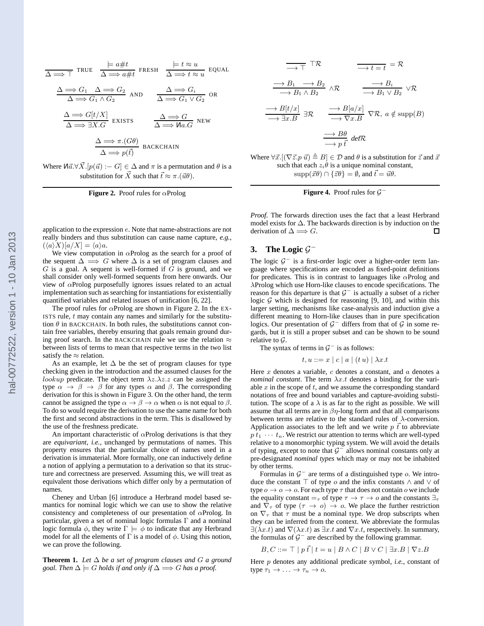<span id="page-3-0"></span>
$$
\frac{\Delta \implies T}{\Delta \implies T} \text{ TRUE} \quad \frac{\models a \# t}{\Delta \implies a \# t} \text{ FRESH} \quad \frac{\models t \approx u}{\Delta \implies t \approx u} \text{ EQUAL}
$$
\n
$$
\frac{\Delta \implies G_1 \quad \Delta \implies G_2}{\Delta \implies G_1 \land G_2} \text{ AND} \quad \frac{\Delta \implies G_i}{\Delta \implies G_1 \lor G_2} \text{ OR}
$$
\n
$$
\frac{\Delta \implies G[t/X]}{\Delta \implies \exists X.G} \text{ EXISTS} \quad \frac{\Delta \implies G}{\Delta \implies \text{Mac}} \text{ NEW}
$$
\n
$$
\frac{\Delta \implies \pi.(G\theta)}{\Delta \implies p(t)} \text{ BACKCHAIN}
$$

Where  $\text{M}\vec{a}.\forall \vec{X}. [p(\vec{u}) : -G] \in \Delta$  and  $\pi$  is a permutation and  $\theta$  is a substitution for  $\vec{X}$  such that  $\vec{t} \approx \pi.(\vec{u}\theta)$ .

**Figure 2.** Proof rules for αProlog

application to the expression e. Note that name-abstractions are not really binders and thus substitution can cause name capture, *e.g.*,  $(\langle a \rangle X)[a/X] = \langle a \rangle a.$ 

We view computation in  $\alpha$ Prolog as the search for a proof of the sequent  $\Delta \implies G$  where  $\Delta$  is a set of program clauses and  $G$  is a goal. A sequent is well-formed if  $G$  is ground, and we shall consider only well-formed sequents from here onwards. Our view of  $\alpha$ Prolog purposefully ignores issues related to an actual implementation such as searching for instantiations for existentially quantified variables and related issues of unification [\[6,](#page-9-0) [22](#page-10-0)].

The proof rules for  $\alpha$ Prolog are shown in Figure 2. In the EX-ISTS rule,  $t$  may contain any names and similarly for the substitution  $\theta$  in BACKCHAIN. In both rules, the substitutions cannot contain free variables, thereby ensuring that goals remain ground during proof search. In the BACKCHAIN rule we use the relation  $\approx$ between lists of terms to mean that respective terms in the two list satisfy the  $\approx$  relation.

As an example, let  $\Delta$  be the set of program clauses for type checking given in the introduction and the assumed clauses for the *lookup* predicate. The object term  $\lambda z.\lambda z.z$  can be assigned the type  $\alpha \rightarrow \beta \rightarrow \beta$  for any types  $\alpha$  and  $\beta$ . The corresponding derivation for this is shown in Figure [3.](#page-4-0) On the other hand, the term cannot be assigned the type  $\alpha \to \beta \to \alpha$  when  $\alpha$  is not equal to  $\beta$ . To do so would require the derivation to use the same name for both the first and second abstractions in the term. This is disallowed by the use of the freshness predicate.

An important characteristic of  $\alpha$ Prolog derivations is that they are *equivariant*, *i.e.*, unchanged by permutations of names. This property ensures that the particular choice of names used in a derivation is immaterial. More formally, one can inductively define a notion of applying a permutation to a derivation so that its structure and correctness are preserved. Assuming this, we will treat as equivalent those derivations which differ only by a permutation of names.

Cheney and Urban [\[6\]](#page-9-0) introduce a Herbrand model based semantics for nominal logic which we can use to show the relative consistency and completeness of our presentation of  $\alpha$ Prolog. In particular, given a set of nominal logic formulas Γ and a nominal logic formula  $\phi$ , they write  $\Gamma \models \phi$  to indicate that any Herbrand model for all the elements of  $\Gamma$  is a model of  $\phi$ . Using this notion, we can prove the following.

**Theorem 1.** *Let*  $\Delta$  *be a set of program clauses and*  $G$  *a ground goal. Then*  $\Delta \models G$  *holds if and only if*  $\Delta \Longrightarrow G$  *has a proof.* 

$$
\begin{array}{ccc}\n\overline{\longrightarrow} \top & \uparrow \mathcal{R} & \overline{\longrightarrow} t = t = \mathcal{R} \\
\frac{\longrightarrow B_1 & \longrightarrow B_2}{\longrightarrow B_1 \land B_2} & \land \mathcal{R} & \stackrel{\longrightarrow}{\longrightarrow} B_1 \lor B_2 & \lor \mathcal{R} \\
\frac{\longrightarrow B[t/x]}{\longrightarrow \exists x.B} & \stackrel{\longrightarrow}{\longrightarrow} B[a/x] & \nabla \mathcal{R}, a \notin \text{supp}(B) \\
\frac{\longrightarrow B\theta}{\longrightarrow p \overline{t}} & \text{def } \mathcal{R}\n\end{array}
$$

Where  $\forall \vec{x}.[(\nabla \vec{z}.p \vec{u}) \triangleq B] \in \mathcal{D}$  and  $\theta$  is a substitution for  $\vec{z}$  and  $\vec{x}$ such that each  $z_i \dot{\theta}$  is a unique nominal constant,  $\text{supp}(\vec{x}\theta) \cap {\vec{z}\theta} = \emptyset$ , and  $\vec{t} = \vec{u}\theta$ .



*Proof.* The forwards direction uses the fact that a least Herbrand model exists for ∆. The backwards direction is by induction on the derivation of  $\Delta \Longrightarrow G$ .  $\Box$ 

### **3.** The Logic  $\mathcal{G}^-$

The logic  $G^-$  is a first-order logic over a higher-order term language where specifications are encoded as fixed-point definitions for predicates. This is in contrast to languages like  $\alpha$ Prolog and λProlog which use Horn-like clauses to encode specifications. The reason for this departure is that  $G^-$  is actually a subset of a richer logic  $G$  which is designed for reasoning [\[9](#page-9-0), [10\]](#page-9-0), and within this larger setting, mechanisms like case-analysis and induction give a different meaning to Horn-like clauses than in pure specification logics. Our presentation of  $G^-$  differs from that of  $G$  in some regards, but it is still a proper subset and can be shown to be sound relative to  $\mathcal{G}$ .

The syntax of terms in  $\mathcal{G}^-$  is as follows:

$$
t, u ::= x \mid c \mid a \mid (t u) \mid \lambda x. t
$$

Here x denotes a variable,  $c$  denotes a constant, and  $a$  denotes a *nominal constant*. The term  $\lambda x.t$  denotes a binding for the variable  $x$  in the scope of  $t$ , and we assume the corresponding standard notations of free and bound variables and capture-avoiding substitution. The scope of a  $\lambda$  is as far to the right as possible. We will assume that all terms are in  $\beta$ η-long form and that all comparisons between terms are relative to the standard rules of  $\lambda$ -conversion. Application associates to the left and we write  $p \, \vec{t}$  to abbreviate  $p \, \tilde{t}_1 \, \cdots \, t_n$ . We restrict our attention to terms which are well-typed relative to a monomorphic typing system. We will avoid the details of typing, except to note that  $G^-$  allows nominal constants only at pre-designated *nominal types* which may or may not be inhabited by other terms.

Formulas in  $\mathcal{G}^-$  are terms of a distinguished type  $\mathfrak{o}$ . We introduce the constant ⊤ of type  $\alpha$  and the infix constants  $\wedge$  and  $\vee$  of type  $o \rightarrow o \rightarrow o$ . For each type  $\tau$  that does not contain  $o$  we include the equality constant  $=_\tau$  of type  $\tau \to \tau \to o$  and the constants  $\exists_{\tau}$ and  $\overline{\nabla}_{\tau}$  of type  $(\tau \to o) \to o$ . We place the further restriction on  $\nabla_{\tau}$  that  $\tau$  must be a nominal type. We drop subscripts when they can be inferred from the context. We abbreviate the formulas  $\exists (\lambda x.t)$  and  $\nabla(\lambda x.t)$  as  $\exists x.t$  and  $\nabla x.t$ , respectively. In summary, the formulas of  $G^-$  are described by the following grammar.

$$
B, C ::= \top | p \vec{t} | t = u | B \wedge C | B \vee C | \exists x . B | \nabla z . B
$$

Here p denotes any additional predicate symbol, *i.e.*, constant of type  $\tau_1 \to \ldots \to \tau_n \to o$ .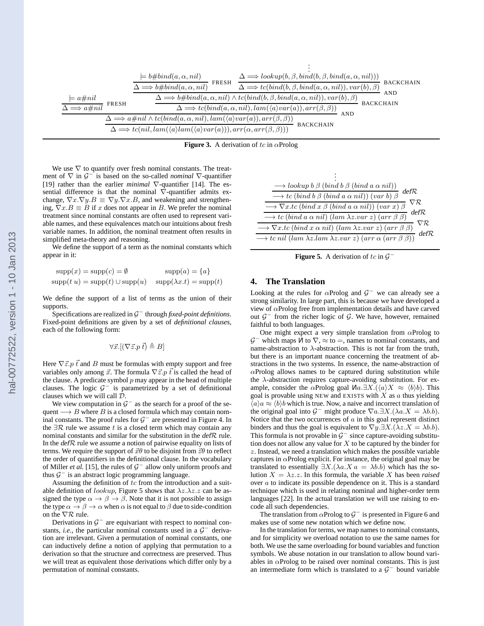<span id="page-4-0"></span>

**Figure 3.** A derivation of tc in  $\alpha$ Prolog

We use  $\nabla$  to quantify over fresh nominal constants. The treatment of  $\nabla$  in  $\mathcal{G}^{-1}$  is based on the so-called *nominal*  $\nabla$ -quantifier [\[19](#page-10-0)] rather than the earlier *minimal* ∇-quantifier [\[14](#page-9-0)]. The essential difference is that the nominal  $\nabla$ -quantifier admits exchange,  $\nabla x.\nabla y.B \equiv \nabla y.\nabla x.B$ , and weakening and strengthening,  $\nabla x.B \equiv B$  if x does not appear in B. We prefer the nominal treatment since nominal constants are often used to represent variable names, and these equivalences match our intuitions about fresh variable names. In addition, the nominal treatment often results in simplified meta-theory and reasoning.

We define the support of a term as the nominal constants which appear in it:

$$
supp(x) = supp(c) = \emptyset \qquad supp(a) = \{a\}
$$
  
\n
$$
supp(t u) = supp(t) \cup supp(u) \qquad supp(\lambda x.t) = supp(t)
$$

We define the support of a list of terms as the union of their supports.

Specifications are realized in G <sup>−</sup> through *fixed-point definitions*. Fixed-point definitions are given by a set of *definitional clauses*, each of the following form:

$$
\forall \vec{x}. [(\nabla \vec{z}. p \, \vec{t}) \triangleq B]
$$

Here  $\nabla \vec{z} \cdot p \vec{t}$  and B must be formulas with empty support and free variables only among  $\vec{x}$ . The formula  $\nabla \vec{z}$ .p  $\vec{t}$  is called the head of the clause. A predicate symbol  $p$  may appear in the head of multiple clauses. The logic  $G^-$  is parametrized by a set of definitional clauses which we will call D.

We view computation in  $\mathcal{G}^-$  as the search for a proof of the sequent  $\longrightarrow$  B where B is a closed formula which may contain nominal constants. The proof rules for  $G^-$  are presented in Figure [4.](#page-3-0) In the  $\exists \mathcal{R}$  rule we assume t is a closed term which may contain any nominal constants and similar for the substitution in the defR rule. In the defR rule we assume a notion of pairwise equality on lists of terms. We require the support of  $\vec{x}\theta$  to be disjoint from  $\vec{z}\theta$  to reflect the order of quantifiers in the definitional clause. In the vocabulary of Miller *et al.* [\[15](#page-10-0)], the rules of  $G^-$  allow only uniform proofs and thus  $G^-$  is an abstract logic programming language.

Assuming the definition of  $tc$  from the introduction and a suitable definition of *lookup*, Figure 5 shows that  $\lambda z.\lambda z.z$  can be assigned the type  $\alpha \to \beta \to \beta$ . Note that it is not possible to assign the type  $\alpha \to \beta \to \alpha$  when  $\alpha$  is not equal to  $\beta$  due to side-condition on the  $\nabla \mathcal{R}$  rule.

Derivations in  $G^-$  are equivariant with respect to nominal constants, *i.e.*, the particular nominal constants used in a  $G^-$  derivation are irrelevant. Given a permutation of nominal constants, one can inductively define a notion of applying that permutation to a derivation so that the structure and correctness are preserved. Thus we will treat as equivalent those derivations which differ only by a permutation of nominal constants.

| $\longrightarrow\text{lookup }b\;\beta\;(\text{bind }b\;\beta\;(\text{bind }a\;\alpha\;nil))$                                          |
|----------------------------------------------------------------------------------------------------------------------------------------|
| defR.<br>$\longrightarrow$ tc (bind b $\beta$ (bind a $\alpha$ nil)) (var b) $\beta$                                                   |
| VR.<br>$\longrightarrow \nabla x. t c$ (bind $x \beta$ (bind a $\alpha$ nil)) (var x) $\beta$                                          |
| defR<br>$\longrightarrow tc~(\overline{bind~a~\alpha~nil})~(\overline{lam~\lambda z.var~z})~(\overline{arr~\beta~\beta})$              |
| VR.<br>$\rightarrow \nabla x. t c$ (bind $x \alpha$ nil) $\overline{(\text{lam } \lambda z. \text{var } z) (\text{arr } \beta \beta)}$ |
| defR<br>$\rightarrow$ tc nil (lam $\lambda z.$ lam $\lambda z.$ var z) (arr $\alpha$ (arr $\beta$ $\beta$ ))                           |
|                                                                                                                                        |

**Figure 5.** A derivation of tc in  $\mathcal{G}^-$ 

#### **4. The Translation**

Looking at the rules for  $\alpha$ Prolog and  $\mathcal{G}^-$  we can already see a strong similarity. In large part, this is because we have developed a view of αProlog free from implementation details and have carved out  $G^-$  from the richer logic of G. We have, however, remained faithful to both languages.

One might expect a very simple translation from  $\alpha$ Prolog to  $\mathcal{G}^-$  which maps  $\hat{\mathcal{M}}$  to  $\nabla$ ,  $\approx$  to  $=$ , names to nominal constants, and name-abstraction to  $\lambda$ -abstraction. This is not far from the truth, but there is an important nuance concerning the treatment of abstractions in the two systems. In essence, the name-abstraction of  $\alpha$ Prolog allows names to be captured during substitution while the  $\lambda$ -abstraction requires capture-avoiding substitution. For example, consider the  $\alpha$ Prolog goal  $\text{Ma.} \exists X. (\langle a \rangle X \approx \langle b \rangle b)$ . This goal is provable using NEW and EXISTS with  $X$  as  $a$  thus yielding  $\overline{\langle a \rangle} a \approx \overline{\langle b \rangle} b$  which is true. Now, a naive and incorrect translation of the original goal into  $\mathcal{G}^-$  might produce  $\nabla a.\exists X.(\lambda a.X = \lambda b.b).$ Notice that the two occurrences of a in this goal represent distinct binders and thus the goal is equivalent to  $\nabla y \cdot \exists X.(\lambda z.X = \lambda b.b).$ This formula is not provable in  $G^-$  since capture-avoiding substitution does not allow any value for  $X$  to be captured by the binder for z. Instead, we need a translation which makes the possible variable captures in  $\alpha$ Prolog explicit. For instance, the original goal may be translated to essentially  $\exists X.(\lambda a.X \, a = \lambda b.b)$  which has the solution  $X = \lambda z \cdot z$ . In this formula, the variable X has been *raised* over a to indicate its possible dependence on it. This is a standard technique which is used in relating nominal and higher-order term languages [\[22](#page-10-0)]. In the actual translation we will use raising to encode all such dependencies.

The translation from  $\alpha$ Prolog to  $\mathcal{G}^-$  is presented in Figure [6](#page-5-0) and makes use of some new notation which we define now.

In the translation for terms, we map names to nominal constants, and for simplicity we overload notation to use the same names for both. We use the same overloading for bound variables and function symbols. We abuse notation in our translation to allow bound variables in  $\alpha$ Prolog to be raised over nominal constants. This is just an intermediate form which is translated to a  $G^-$  bound variable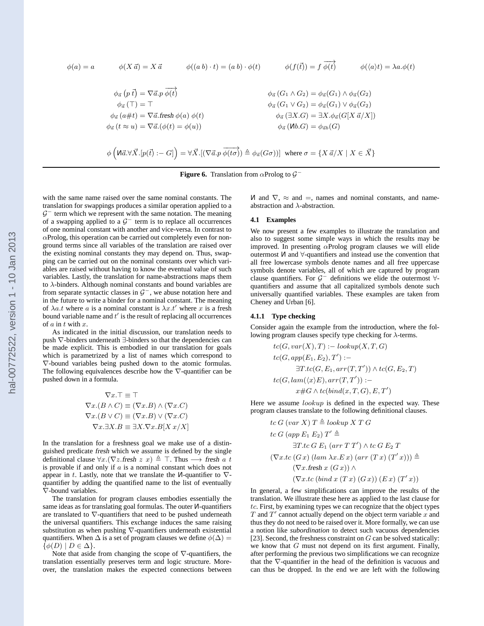<span id="page-5-0"></span>
$$
\phi(a) = a \qquad \phi(X \vec{a}) = X \vec{a} \qquad \phi((a b) \cdot t) = (a b) \cdot \phi(t) \qquad \phi(f(\vec{t})) = f \overrightarrow{\phi(t)} \qquad \phi(\langle a \rangle t) = \lambda a \cdot \phi(t)
$$
  

$$
\phi_{\vec{a}}(p \vec{t}) = \nabla \vec{a} \cdot p \overrightarrow{\phi(t)} \qquad \phi_{\vec{a}}(G_1 \wedge G_2) = \phi_{\vec{a}}(G_1) \wedge \phi_{\vec{a}}(G_2)
$$

$$
\phi_{\vec{a}}(T) = T \qquad \phi_{\vec{a}}(G_1 \vee G_2) = \phi_{\vec{a}}(G_1) \vee \phi_{\vec{a}}(G_2)
$$

$$
\phi_{\vec{a}}(a \# t) = \nabla \vec{a} \cdot \text{ fresh } \phi(a) \phi(t) \qquad \phi_{\vec{a}}(3X \cdot G) = \exists X \cdot \phi_{\vec{a}}(G[X \vec{a}/X])
$$

$$
\phi_{\vec{a}}(t \approx u) = \nabla \vec{a} \cdot (\phi(t) = \phi(u)) \qquad \phi_{\vec{a}}(t \otimes G) = \phi_{\vec{a}b}(G)
$$

$$
\phi\left(\text{Ma} \cdot \forall \vec{X} \cdot [p(\vec{t}) : -G]\right) = \forall \vec{X} \cdot [(\nabla \vec{a} \cdot p \overrightarrow{\phi(t \sigma)}) \triangleq \phi_{\vec{a}}(G \circ \text{h})] \text{ where } \sigma = \{X \vec{a}/X \mid X \in \vec{X}\}
$$

**Figure 6.** Translation from  $\alpha$ Prolog to  $\mathcal{G}^-$ 

with the same name raised over the same nominal constants. The translation for swappings produces a similar operation applied to a  $G^-$  term which we represent with the same notation. The meaning of a swapping applied to a  $G^-$  term is to replace all occurrences of one nominal constant with another and vice-versa. In contrast to  $\alpha$ Prolog, this operation can be carried out completely even for nonground terms since all variables of the translation are raised over the existing nominal constants they may depend on. Thus, swapping can be carried out on the nominal constants over which variables are raised without having to know the eventual value of such variables. Lastly, the translation for name-abstractions maps them to  $\lambda$ -binders. Although nominal constants and bound variables are from separate syntactic classes in  $\mathcal{G}^-$ , we abuse notation here and in the future to write a binder for a nominal constant. The meaning of  $\lambda a.t$  where a is a nominal constant is  $\lambda x.t'$  where x is a fresh bound variable name and  $t'$  is the result of replacing all occurrences of  $a$  in  $t$  with  $x$ .

As indicated in the initial discussion, our translation needs to push ∇-binders underneath ∃-binders so that the dependencies can be made explicit. This is embodied in our translation for goals which is parametrized by a list of names which correspond to ∇-bound variables being pushed down to the atomic formulas. The following equivalences describe how the  $\nabla$ -quantifier can be pushed down in a formula.

$$
\nabla x.\top \equiv \top
$$
  
\n
$$
\nabla x.(B \wedge C) \equiv (\nabla x.B) \wedge (\nabla x.C)
$$
  
\n
$$
\nabla x.(B \vee C) \equiv (\nabla x.B) \vee (\nabla x.C)
$$
  
\n
$$
\nabla x.\exists X.B \equiv \exists X.\nabla x.B[X x / X]
$$

In the translation for a freshness goal we make use of a distinguished predicate fresh which we assume is defined by the single definitional clause  $\forall x.(\nabla z$ .fresh  $z \ x) \triangleq \top$ . Thus  $\longrightarrow$  fresh a t is provable if and only if  $a$  is a nominal constant which does not appear in t. Lastly, note that we translate the  $\mathsf{M}\text{-}\mathsf{quantifier}$  to  $\nabla$ quantifier by adding the quantified name to the list of eventually ∇-bound variables.

The translation for program clauses embodies essentially the same ideas as for translating goal formulas. The outer <sup>N</sup>-quantifiers are translated to ∇-quantifiers that need to be pushed underneath the universal quantifiers. This exchange induces the same raising substitution as when pushing ∇-quantifiers underneath existential quantifiers. When  $\Delta$  is a set of program clauses we define  $\phi(\Delta)$  =  $\{\phi(D) \mid D \in \Delta\}.$ 

Note that aside from changing the scope of ∇-quantifiers, the translation essentially preserves term and logic structure. Moreover, the translation makes the expected connections between  $M$  and  $\nabla$ ,  $\approx$  and  $=$ , names and nominal constants, and nameabstraction and  $\lambda$ -abstraction.

#### **4.1 Examples**

We now present a few examples to illustrate the translation and also to suggest some simple ways in which the results may be improved. In presenting  $\alpha$ Prolog program clauses we will elide outermost <sup>N</sup>and ∀-quantifiers and instead use the convention that all free lowercase symbols denote names and all free uppercase symbols denote variables, all of which are captured by program clause quantifiers. For  $G^-$  definitions we elide the outermost  $\forall$ quantifiers and assume that all capitalized symbols denote such universally quantified variables. These examples are taken from Cheney and Urban [\[6\]](#page-9-0).

#### **4.1.1 Type checking**

Consider again the example from the introduction, where the following program clauses specify type checking for  $\lambda$ -terms.

$$
tc(G, var(X), T) := lookup(X, T, G)
$$
  
\n
$$
tc(G, app(E_1, E_2), T') :=
$$
  
\n
$$
\exists T.tc(G, E_1, arr(T, T')) \land tc(G, E_2, T)
$$
  
\n
$$
tc(G, lam(\langle x \rangle E), arr(T, T')) :=
$$
  
\n
$$
x \#G \land tc(bind(x, T, G), E, T')
$$

Here we assume *lookup* is defined in the expected way. These program clauses translate to the following definitional clauses.

$$
tc G (var X) T \triangleq lookup X T G
$$
  
\n
$$
tc G (app E_1 E_2) T' \triangleq
$$
  
\n
$$
\exists T . tc G E_1 (arr T T') \land tc G E_2 T
$$
  
\n
$$
(\nabla x . tc (G x) (lam \lambda x . Ex) (arr (Tx) (T' x))) \triangleq
$$
  
\n
$$
(\nabla x . fresh x (G x)) \land
$$
  
\n
$$
(\nabla x . tc (bind x (Tx) (G x)) (Ex) (T' x))
$$

In general, a few simplifications can improve the results of the translation. We illustrate these here as applied to the last clause for  $tc.$  First, by examining types we can recognize that the object types  $T$  and  $T'$  cannot actually depend on the object term variable  $x$  and thus they do not need to be raised over it. More formally, we can use a notion like *subordination* to detect such vacuous dependencies [\[23\]](#page-10-0). Second, the freshness constraint on  $G$  can be solved statically: we know that  $G$  must not depend on its first argument. Finally, after performing the previous two simplifications we can recognize that the ∇-quantifier in the head of the definition is vacuous and can thus be dropped. In the end we are left with the following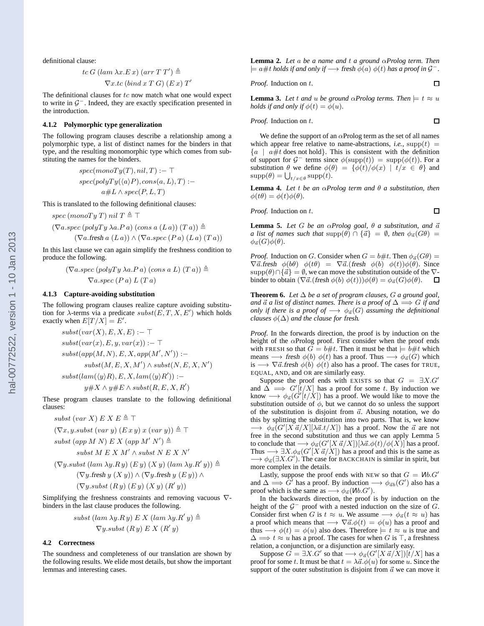definitional clause:

$$
tc\ G\ (lam\ \lambda x.E\ x)\ (arr\ T\ T')\triangleq
$$
  

$$
\nabla x.tc\ (bind\ x\ T\ G)\ (E\ x)\ T'
$$

The definitional clauses for  $tc$  now match what one would expect to write in  $G^-$ . Indeed, they are exactly specification presented in the introduction.

#### **4.1.2 Polymorphic type generalization**

The following program clauses describe a relationship among a polymorphic type, a list of distinct names for the binders in that type, and the resulting monomorphic type which comes from substituting the names for the binders.

$$
spec(monoTy(T), nil, T) :- \top
$$

$$
spec(polyTy(\langle a \rangle P), cons(a, L), T) :-
$$

$$
a#L \land spec(P, L, T)
$$

This is translated to the following definitional clauses:

$$
spec\ (monoTy\ T)\ nil\ T \triangleq \top
$$

$$
(\nabla a \cdot \text{spec } (polyTy \lambda a \cdot P a) \cdot (\text{cons } a (L a)) (T a)) \triangleq
$$
  

$$
(\nabla a \cdot \text{free } a (L a)) \wedge (\nabla a \cdot \text{spec } (P a) (L a) (T a))
$$

In this last clause we can again simplify the freshness condition to produce the following.

$$
(\nabla a \cdot spec (polyTy \lambda a \cdot Pa) (cons a L) (T a)) \triangleq
$$
  

$$
\nabla a \cdot spec (P a) L (T a)
$$

#### **4.1.3 Capture-avoiding substitution**

The following program clauses realize capture avoiding substitution for  $\lambda$ -terms via a predicate  $\mathit{subst}(E, T, X, E')$  which holds exactly when  $E[T/X] = E'$ .

 $subst(var(X), E, X, E) := \top$  $\textit{subst}(\textit{var}(x), E, y, \textit{var}(x)) := \top$  $\mathit{subst}(\mathit{app}(M,N),E,X,\mathit{app}(M',N')):$  $subst(M, E, X, M') \wedge subst(N, E, X, N')$ 

 $\textit{subst}(\textit{lam}(\langle y \rangle R), E, X, \textit{lam}(\langle y \rangle R')) :=$  $y \# X \wedge y \# E \wedge \textit{subst}(R, E, X, R')$ 

These program clauses translate to the following definitional clauses:

\n
$$
subst (var X) \, E \, X \, E \triangleq \top
$$
\n
$$
(\nabla x, y \, \textit{subst} \, (var \, y) \, (E \, x \, y) \, x \, (var \, y)) \triangleq \top
$$
\n
$$
subst (app \, M \, N) \, E \, X \, (app \, M' \, N') \triangleq
$$
\n
$$
subst \, M \, E \, X \, M' \land \textit{subst} \, N \, E \, X \, N'
$$
\n
$$
(\nabla y \, \textit{subst} \, (lam \, \lambda y \, R \, y) \, (E \, y) \, (X \, y) \, (lam \, \lambda y \, R' \, y)) \triangleq
$$
\n
$$
(\nabla y \, \textit{first} \, y \, (X \, y)) \land (\nabla y \, \textit{first} \, y \, (E \, y)) \land
$$
\n
$$
(\nabla y \, \textit{subst} \, (R \, y) \, (E \, y) \, (X \, y) \, (R' \, y))
$$
\n

Simplifying the freshness constraints and removing vacuous ∇ binders in the last clause produces the following.

$$
subst (lam \lambda y.Ry) E X (lam \lambda y.R'y) \triangleq
$$
  
 
$$
\nabla y.subst (R y) E X (R'y)
$$

#### **4.2 Correctness**

The soundness and completeness of our translation are shown by the following results. We elide most details, but show the important lemmas and interesting cases.

**Lemma 2.** *Let* a *be a name and* t *a ground* α*Prolog term. Then*  $\models$  a#t holds if and only if  $\longrightarrow$  fresh  $\phi(a)$   $\phi(t)$  has a proof in  $\mathcal{G}^-$ .

*Proof.* Induction on 
$$
t
$$
.

**Lemma 3.** Let t and u be ground  $\alpha$ Prolog terms. Then  $\models t \approx u$ *holds if and only if*  $\phi(t) = \phi(u)$ *.* 

*Proof.* Induction on 
$$
t
$$
.

We define the support of an  $\alpha$ Prolog term as the set of all names which appear free relative to name-abstractions, *i.e.*,  $\text{supp}(t)$  =  ${a \mid a \# t \text{ does not hold}}$ . This is consistent with the definition of support for  $G^-$  terms since  $\phi(\text{supp}(t)) = \text{supp}(\phi(t))$ . For a substitution  $\theta$  we define  $\phi(\theta) = {\phi(t)}/{\phi(x)}$  |  $t/x \in \theta$ } and  $\text{supp}(\theta) = \bigcup_{t/x \in \theta} \text{supp}(t).$ 

**Lemma 4.** *Let* t *be an* α*Prolog term and* θ *a substitution, then*  $\phi(t\theta) = \phi(t)\phi(\theta)$ .

*Proof.* Induction on t.

**Lemma 5.** *Let*  $G$  *be an*  $\alpha$ *Prolog goal,*  $\theta$  *a substitution, and*  $\vec{a}$ *a list of names such that*  $\text{supp}(\theta) \cap {\vec{a}} \} = \emptyset$ *, then*  $\phi_{\vec{a}}(G\theta) =$  $\phi_{\vec{a}}(G)\phi(\theta)$ .

*Proof.* Induction on G. Consider when  $G = b \# t$ . Then  $\phi_{\vec{a}}(G\theta) =$  $\nabla \vec{a}$ .fresh  $\phi(b\theta)$   $\phi(t\theta) = \nabla \vec{a}$ .(fresh  $\phi(b)$   $\phi(t)\phi(\theta)$ . Since  $\text{supp}(\theta) \cap {\vec{\alpha}} = \emptyset$ , we can move the substitution outside of the  $\nabla$ binder to obtain  $(\nabla \vec{a}.(\text{fresh } \phi(b) \phi(t)))\phi(\theta) = \phi_{\vec{a}}(G)\phi(\theta)$ .  $\Box$ 

**Theorem 6.** *Let* ∆ *be a set of program clauses,* G *a ground goal, and*  $\vec{a}$  *a list of distinct names. There is a proof of*  $\Delta \implies G$  *if and only if there is a proof of*  $\longrightarrow \phi_{\vec{a}}(G)$  *assuming the definitional clauses*  $\phi(\Delta)$  *and the clause for fresh.* 

*Proof.* In the forwards direction, the proof is by induction on the height of the  $\alpha$ Prolog proof. First consider when the proof ends with FRESH so that  $\ddot{G} = b \# t$ . Then it must be that  $\models \dot{b} \# t$  which means  $\longrightarrow$  fresh  $\phi(b)$   $\phi(t)$  has a proof. Thus  $\longrightarrow \phi_{\vec{a}}(G)$  which is  $\longrightarrow \nabla \vec{a}$ .fresh  $\phi(b)$   $\phi(t)$  also has a proof. The cases for TRUE, EQUAL, AND, and OR are similarly easy.

Suppose the proof ends with EXISTS so that  $G = \exists X . G'$ and  $\Delta \rightarrow G'[t/X]$  has a proof for some t. By induction we know  $\longrightarrow \phi_{\vec{a}}(G'[t/\hat{X}])$  has a proof. We would like to move the substitution outside of  $\phi$ , but we cannot do so unless the support of the substitution is disjoint from  $\vec{a}$ . Abusing notation, we do this by splitting the substitution into two parts. That is, we know  $\longrightarrow \phi_{\vec{a}}(G'[X\vec{a}/X][\lambda \vec{a}.t/X])$  has a proof. Now the  $\vec{a}$  are not free in the second substitution and thus we can apply Lemma 5 to conclude that  $\longrightarrow \phi_{\vec a}(G'[X\,\vec a/X])[\lambda \vec a.\phi(t)/\phi(\vec X)]$  has a proof. Thus  $\longrightarrow \exists X. \phi_{\vec{a}}(G'[\hat{X} \hat{a}/X])$  has a proof and this is the same as  $\longrightarrow \phi_{\vec{a}}(\exists X. G')$ . The case for BACKCHAIN is similar in spirit, but more complex in the details.

Lastly, suppose the proof ends with NEW so that  $G = Wb \cdot G'$ and  $\Delta \Longrightarrow G'$  has a proof. By induction  $\longrightarrow \phi_{\vec{a}b}(G')$  also has a proof which is the same as  $\longrightarrow \phi_{\vec{a}}(\mathsf{W}b.G')$ .

In the backwards direction, the proof is by induction on the height of the  $G^-$  proof with a nested induction on the size of  $G$ . Consider first when G is  $t \approx u$ . We assume  $\longrightarrow \phi_{\vec{a}}(t \approx u)$  has a proof which means that  $\longrightarrow \nabla \vec{a}.\phi(t) = \phi(u)$  has a proof and thus  $\longrightarrow \phi(t) = \phi(u)$  also does. Therefore  $\models t \approx u$  is true and  $\Delta \Longrightarrow t \approx u$  has a proof. The cases for when G is  $\top$ , a freshness relation, a conjunction, or a disjunction are similarly easy.

Suppose  $\check{G} = \exists X . G'$  so that  $\longrightarrow \phi_{\vec{a}}(G'[X\,\vec{a}/X])[t/X]$  has a proof for some t. It must be that  $t = \lambda \vec{a}.\phi(u)$  for some u. Since the support of the outer substitution is disjoint from  $\vec{a}$  we can move it

 $\Box$ 

 $\Box$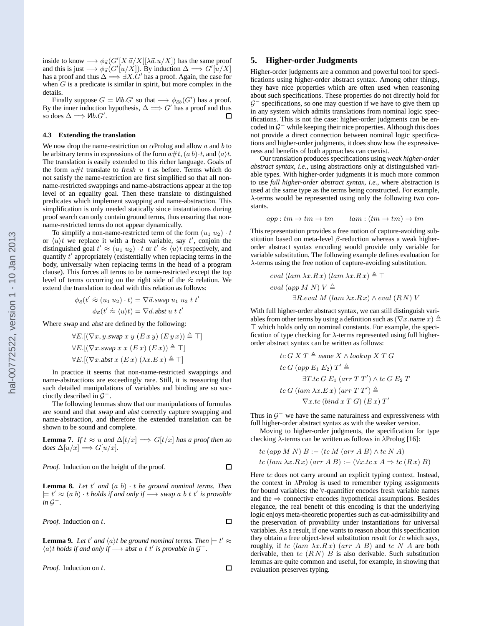<span id="page-7-0"></span>inside to know  $\longrightarrow \phi_{\vec{a}}(G'[X\vec{a}/X][\lambda \vec{a}.u/X])$  has the same proof and this is just  $\longrightarrow \phi_{\vec{a}}(G'[u/X])$ . By induction  $\Delta \Longrightarrow G'[\vec{u}/X]$ has a proof and thus  $\overline{\Delta} \Longrightarrow \exists X . \overline{G}'$  has a proof. Again, the case for when  $G$  is a predicate is similar in spirit, but more complex in the details.

Finally suppose  $G = \mathsf{W}b.G'$  so that  $\longrightarrow \phi_{\vec{a}b}(G')$  has a proof. By the inner induction hypothesis,  $\Delta \Longrightarrow G'$  has a proof and thus so does  $\Delta \Longrightarrow$   $Mb.G'.$ n

#### **4.3 Extending the translation**

We now drop the name-restriction on  $\alpha$ Prolog and allow a and b to be arbitrary terms in expressions of the form  $a \# t$ ,  $(a b) \cdot t$ , and  $\langle a \rangle t$ . The translation is easily extended to this richer language. Goals of the form  $u \# t$  translate to fresh u t as before. Terms which do not satisfy the name-restriction are first simplified so that all nonname-restricted swappings and name-abstractions appear at the top level of an equality goal. Then these translate to distinguished predicates which implement swapping and name-abstraction. This simplification is only needed statically since instantiations during proof search can only contain ground terms, thus ensuring that nonname-restricted terms do not appear dynamically.

To simplify a non-name-restricted term of the form  $(u_1, u_2) \cdot t$ or  $\langle u \rangle t$  we replace it with a fresh variable, say t', conjoin the distinguished goal  $t' \approx (u_1 \ u_2) \cdot t$  or  $t' \approx \langle u \rangle t$  respectively, and quantify t' appropriately (existentially when replacing terms in the body, universally when replacing terms in the head of a program clause). This forces all terms to be name-restricted except the top level of terms occurring on the right side of the  $\approx$  relation. We extend the translation to deal with this relation as follows:

$$
\phi_{\vec{a}}(t' \approx (u_1 \ u_2) \cdot t) = \nabla \vec{a}.\text{swap } u_1 \ u_2 \ t \ t'
$$

$$
\phi_{\vec{a}}(t' \approx \langle u \rangle t) = \nabla \vec{a}.\text{abst } u \ t \ t'
$$

Where swap and abst are defined by the following:

$$
\forall E.[(\nabla x, y \cdot swap \ x \ y \ (E \ x \ y) \ (E \ y \ x)) \triangleq \top]
$$

$$
\forall E.[(\nabla x. swap \ x \ x \ (E \ x) \ (E \ x)) \triangleq \top]
$$

$$
\forall E.[(\nabla x. abst \ x \ (E \ x) \ (\lambda x. E \ x) \triangleq \top]
$$

In practice it seems that non-name-restricted swappings and name-abstractions are exceedingly rare. Still, it is reassuring that such detailed manipulations of variables and binding are so succinctly described in  $\mathcal{G}^-$ .

The following lemmas show that our manipulations of formulas are sound and that swap and abst correctly capture swapping and name-abstraction, and therefore the extended translation can be shown to be sound and complete.

**Lemma 7.** *If*  $t \approx u$  *and*  $\Delta[t/x] \implies G[t/x]$  *has a proof then so*  $does \Delta[u/x] \Longrightarrow G[u/x].$ 

$$
f_{\rm{max}}
$$

 $\Box$ 

 $\Box$ 

 $\Box$ 

**Lemma 8.** Let  $t'$  and  $(a\ b) \cdot t$  be ground nominal terms. Then  $\models t' \approx (a \ b) \cdot t \ holds \ if \ and \ only \ if \ \longrightarrow \ swap \ a \ b \ t \ t' \ is \ provable$ *in*  $\mathcal{G}^-$ .

*Proof.* Induction on 
$$
t
$$
.

*Proof.* Induction on the height of the proof.

**Lemma 9.** Let t' and  $\langle a \rangle t$  be ground nominal terms. Then  $\vert t \vert \approx$  $\langle a \rangle t$  holds if and only if  $\longrightarrow$  abst a t t' is provable in  $\mathcal{G}^-$ .

*Proof.* Induction on t.

#### **5. Higher-order Judgments**

Higher-order judgments are a common and powerful tool for specifications using higher-order abstract syntax. Among other things, they have nice properties which are often used when reasoning about such specifications. These properties do not directly hold for  $G^-$  specifications, so one may question if we have to give them up in any system which admits translations from nominal logic specifications. This is not the case: higher-order judgments can be encoded in  $\mathcal{G}^-$  while keeping their nice properties. Although this does not provide a direct connection between nominal logic specifications and higher-order judgments, it does show how the expressiveness and benefits of both approaches can coexist.

Our translation produces specifications using *weak higher-order abstract syntax*, *i.e.*, using abstractions only at distinguished variable types. With higher-order judgments it is much more common to use *full higher-order abstract syntax*, *i.e.*, where abstraction is used at the same type as the terms being constructed. For example, λ-terms would be represented using only the following two constants.

 $app:tm\to tm\to tm$   $lam:(tm\to tm)\to tm$ 

This representation provides a free notion of capture-avoiding substitution based on meta-level  $\beta$ -reduction whereas a weak higherorder abstract syntax encoding would provide only variable for variable substitution. The following example defines evaluation for λ-terms using the free notion of capture-avoiding substitution.

$$
eval (lam \lambda x.Rx) (lam \lambda x.Rx) \triangleq \top
$$
  
eval (app M N) V  $\triangleq$   
 $\exists R.\text{eval } M (\text{lam } \lambda x.Rx) \land \text{eval } (RN) V$ 

With full higher-order abstract syntax, we can still distinguish variables from other terms by using a definition such as  $(\nabla x$ .name  $x) \triangleq$ ⊤ which holds only on nominal constants. For example, the specification of type checking for  $\lambda$ -terms represented using full higherorder abstract syntax can be written as follows:

$$
tc\ G\ X\ T \triangleq name\ X \wedge lookup\ X\ T\ G
$$

$$
tc\ G\ (app\ E_1\ E_2)\ T' \triangleq
$$

$$
\exists T.tc\ G\ E_1\ (arr\ T\ T') \wedge tc\ G\ E_2\ T
$$

$$
tc\ G\ (lam\ \lambda x.E\ x)\ (arr\ T\ T') \triangleq
$$

$$
\nabla x.tc\ (bind\ x\ T\ G)\ (E\ x)\ T'
$$

Thus in  $\mathcal{G}^-$  we have the same naturalness and expressiveness with full higher-order abstract syntax as with the weaker version.

Moving to higher-order judgments, the specification for type checking  $\lambda$ -terms can be written as follows in  $\lambda$ Prolog [\[16](#page-10-0)]:

$$
tc (app M N) B := (tc M (arr A B) \wedge tc N A)
$$
  

$$
tc (lam \lambda x.Rx) (arr A B) := (\forall x. tc x A \Rightarrow tc (Rx) B)
$$

Here  $tc$  does not carry around an explicit typing context. Instead, the context in  $\lambda$ Prolog is used to remember typing assignments for bound variables: the ∀-quantifier encodes fresh variable names and the  $\Rightarrow$  connective encodes hypothetical assumptions. Besides elegance, the real benefit of this encoding is that the underlying logic enjoys meta-theoretic properties such as cut-admissibility and the preservation of provability under instantiations for universal variables. As a result, if one wants to reason about this specification they obtain a free object-level substitution result for  $tc$  which says, roughly, if tc (lam  $\lambda x.Rx$ ) (arr A B) and tc N A are both derivable, then tc  $(R N)$  B is also derivable. Such substitution lemmas are quite common and useful, for example, in showing that evaluation preserves typing.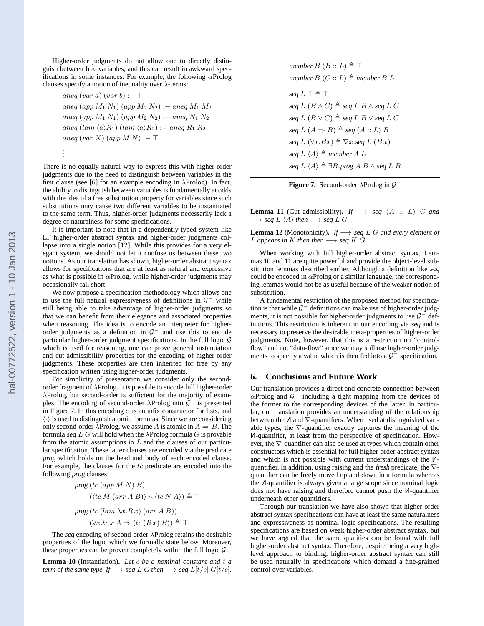<span id="page-8-0"></span>Higher-order judgments do not allow one to directly distinguish between free variables, and this can result in awkward specifications in some instances. For example, the following  $\alpha$ Prolog clauses specify a notion of inequality over  $\lambda$ -terms:

$$
aneq (var a) (var b) := \top
$$
  
\n
$$
aneq (app M_1 N_1) (app M_2 N_2) := aneq M_1 M_2
$$
  
\n
$$
aneq (app M_1 N_1) (app M_2 N_2) := aneq N_1 N_2
$$
  
\n
$$
aneq (lam \langle a \rangle R_1) (lam \langle a \rangle R_2) := aneq R_1 R_2
$$
  
\n
$$
aneq (var X) (app M N) := \top
$$

. .

There is no equally natural way to express this with higher-order judgments due to the need to distinguish between variables in the first clause (see [\[6\]](#page-9-0) for an example encoding in λProlog). In fact, the ability to distinguish between variables is fundamentally at odds with the idea of a free substitution property for variables since such substitutions may cause two different variables to be instantiated to the same term. Thus, higher-order judgments necessarily lack a degree of naturalness for some specifications.

It is important to note that in a dependently-typed system like LF higher-order abstract syntax and higher-order judgments collapse into a single notion [\[12\]](#page-9-0). While this provides for a very elegant system, we should not let it confuse us between these two notions. As our translation has shown, higher-order abstract syntax allows for specifications that are at least as natural and expressive as what is possible in  $\alpha$ Prolog, while higher-order judgments may occasionally fall short.

We now propose a specification methodology which allows one to use the full natural expressiveness of definitions in  $\mathcal{G}^-$  while still being able to take advantage of higher-order judgments so that we can benefit from their elegance and associated properties when reasoning. The idea is to encode an interpreter for higherorder judgments as a definition in  $G^-$  and use this to encode particular higher-order judgment specifications. In the full logic  $G$ which is used for reasoning, one can prove general instantiation and cut-admissibility properties for the encoding of higher-order judgments. These properties are then inherited for free by any specification written using higher-order judgments.

For simplicity of presentation we consider only the secondorder fragment of λProlog. It is possible to encode full higher-order λProlog, but second-order is sufficient for the majority of examples. The encoding of second-order  $\lambda$ Prolog into  $\mathcal{G}^-$  is presented in Figure 7. In this encoding :: is an infix constructor for lists, and  $\langle \cdot \rangle$  is used to distinguish atomic formulas. Since we are considering only second-order  $\lambda$ Prolog, we assume A is atomic in  $A \Rightarrow B$ . The formula seq  $L G$  will hold when the  $\lambda$ Prolog formula  $G$  is provable from the atomic assumptions in  $L$  and the clauses of our particular specification. These latter clauses are encoded via the predicate prog which holds on the head and body of each encoded clause. For example, the clauses for the  $tc$  predicate are encoded into the following prog clauses:

$$
prog (tc (app M N) B)
$$
  
\n
$$
(\langle tc M (arr A B) \rangle \land \langle tc N A \rangle) \triangleq \top
$$
  
\n
$$
prog (tc (lam \lambda x.Rx) (arr A B))
$$
  
\n
$$
(\forall x.tc x A \Rightarrow \langle tc (Rx) B \rangle) \triangleq \top
$$

The seq encoding of second-order  $\lambda$ Prolog retains the desirable properties of the logic which we formally state below. Moreover, these properties can be proven completely within the full logic  $G$ .

**Lemma 10** (Instantiation)**.** *Let* c *be a nominal constant and* t *a term of the same type. If*  $\longrightarrow$  seq  $L$  G *then*  $\longrightarrow$  seq  $L[t/c]$  G[t/c]*.*  member  $B(B :: L) \triangleq \top$ member  $B(C:: L) \triangleq$  member  $B/L$ seq  $L \top \triangleq \top$ seq  $L (B \wedge C) \triangleq$  seq  $L B \wedge$  seq  $L C$ seq  $L(B \vee C) \triangleq$  seq  $L B \vee$  seq  $L C$ seq  $L(A \Rightarrow B) \triangleq$  seq  $(A :: L)$  B seq L  $(\forall x.Bx) \triangleq \nabla x.\text{seq } L(Bx)$ seq  $L \langle A \rangle \triangleq$  member A L seq  $L \langle A \rangle \triangleq \exists B.\text{prog } A \ B \wedge \text{seq } L \ B$ 



**Lemma 11** (Cut admissibility). *If*  $\longrightarrow$  seq (A :: L) G and  $\longrightarrow$  seq  $L \langle A \rangle$  then  $\longrightarrow$  seq  $L G$ *.* 

**Lemma 12** (Monotonicity)**.** *If* −→ seq L G *and every element of L* appears in K then then  $\longrightarrow$  seq K  $\tilde{G}$ .

When working with full higher-order abstract syntax, Lemmas 10 and 11 are quite powerful and provide the object-level substitution lemmas described earlier. Although a definition like seq could be encoded in  $\alpha$ Prolog or a similar language, the corresponding lemmas would not be as useful because of the weaker notion of substitution.

A fundamental restriction of the proposed method for specification is that while  $G^-$  definitions can make use of higher-order judgments, it is not possible for higher-order judgments to use  $\mathcal{G}^-$  definitions. This restriction is inherent in our encoding via seq and is necessary to preserve the desirable meta-properties of higher-order judgments. Note, however, that this is a restriction on "controlflow" and not "data-flow" since we may still use higher-order judgments to specify a value which is then fed into a  $\mathcal{G}^-$  specification.

#### **6. Conclusions and Future Work**

Our translation provides a direct and concrete connection between  $\alpha$ Prolog and  $\mathcal{G}^-$  including a tight mapping from the devices of the former to the corresponding devices of the latter. In particular, our translation provides an understanding of the relationship between the  $\mathsf{M}$  and  $\overline{\nabla}$ -quantifiers. When used at distinguished variable types, the ∇-quantifier exactly captures the meaning of the <sup>N</sup>-quantifier, at least from the perspective of specification. However, the ∇-quantifier can also be used at types which contain other constructors which is essential for full higher-order abstract syntax and which is not possible with current understandings of the <sup>N</sup>quantifier. In addition, using raising and the fresh predicate, the ∇ quantifier can be freely moved up and down in a formula whereas the <sup>N</sup>-quantifier is always given a large scope since nominal logic does not have raising and therefore cannot push the <sup>N</sup>-quantifier underneath other quantifiers.

Through our translation we have also shown that higher-order abstract syntax specifications can have at least the same naturalness and expressiveness as nominal logic specifications. The resulting specifications are based on weak higher-order abstract syntax, but we have argued that the same qualities can be found with full higher-order abstract syntax. Therefore, despite being a very highlevel approach to binding, higher-order abstract syntax can still be used naturally in specifications which demand a fine-grained control over variables.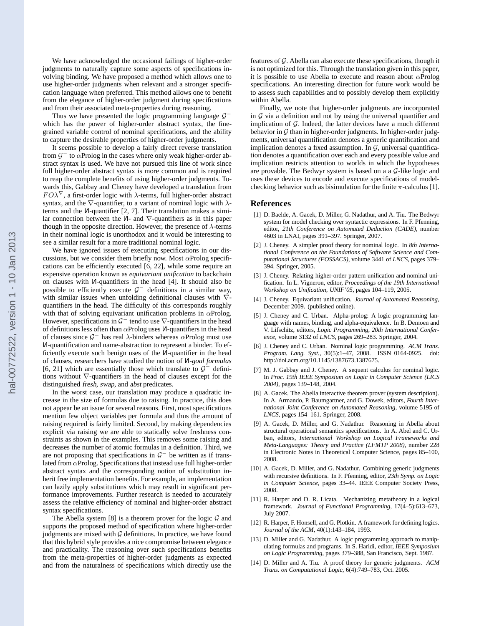<span id="page-9-0"></span>We have acknowledged the occasional failings of higher-order judgments to naturally capture some aspects of specifications involving binding. We have proposed a method which allows one to use higher-order judgments when relevant and a stronger specification language when preferred. This method allows one to benefit from the elegance of higher-order judgment during specifications and from their associated meta-properties during reasoning.

Thus we have presented the logic programming language  $\mathcal{G}^$ which has the power of higher-order abstract syntax, the finegrained variable control of nominal specifications, and the ability to capture the desirable properties of higher-order judgments.

It seems possible to develop a fairly direct reverse translation from  $G^-$  to  $\alpha$ Prolog in the cases where only weak higher-order abstract syntax is used. We have not pursued this line of work since full higher-order abstract syntax is more common and is required to reap the complete benefits of using higher-order judgments. Towards this, Gabbay and Cheney have developed a translation from  $FO\lambda^{\nabla}$ , a first-order logic with  $\lambda$ -terms, full higher-order abstract syntax, and the  $\nabla$ -quantifier, to a variant of nominal logic with  $\lambda$ terms and the <sup>N</sup>-quantifier [2, 7]. Their translation makes a similar connection between the <sup>N</sup>- and ∇-quantifiers as in this paper though in the opposite direction. However, the presence of  $\lambda$ -terms in their nominal logic is unorthodox and it would be interesting to see a similar result for a more traditional nominal logic.

We have ignored issues of executing specifications in our discussions, but we consider them briefly now. Most  $\alpha$ Prolog specifications can be efficiently executed [6, [22\]](#page-10-0), while some require an expensive operation known as *equivariant unification* to backchain on clauses with <sup>N</sup>-quantifiers in the head [4]. It should also be possible to efficiently execute  $G^-$  definitions in a similar way, with similar issues when unfolding definitional clauses with ∇ quantifiers in the head. The difficulty of this corresponds roughly with that of solving equivariant unification problems in  $\alpha$ Prolog. However, specifications in  $\mathcal{G}^-$  tend to use  $\nabla$ -quantifiers in the head of definitions less often than  $\alpha$ Prolog uses *V*-quantifiers in the head of clauses since  $G^-$  has real  $\lambda$ -binders whereas  $\alpha$ Prolog must use N-quantification and name-abstraction to represent a binder. To efficiently execute such benign uses of the <sup>N</sup>-quantifier in the head of clauses, researchers have studied the notion of <sup>N</sup>*-goal formulas* [6, [21\]](#page-10-0) which are essentially those which translate to  $\mathcal{G}^-$  definitions without ∇-quantifiers in the head of clauses except for the distinguished fresh, swap, and abst predicates.

In the worst case, our translation may produce a quadratic increase in the size of formulas due to raising. In practice, this does not appear be an issue for several reasons. First, most specifications mention few object variables per formula and thus the amount of raising required is fairly limited. Second, by making dependencies explicit via raising we are able to statically solve freshness constraints as shown in the examples. This removes some raising and decreases the number of atomic formulas in a definition. Third, we are not proposing that specifications in  $G^-$  be written as if translated from  $\alpha$ Prolog. Specifications that instead use full higher-order abstract syntax and the corresponding notion of substitution inherit free implementation benefits. For example, an implementation can lazily apply substitutions which may result in significant performance improvements. Further research is needed to accurately assess the relative efficiency of nominal and higher-order abstract syntax specifications.

The Abella system  $[8]$  is a theorem prover for the logic  $G$  and supports the proposed method of specification where higher-order judgments are mixed with  $G$  definitions. In practice, we have found that this hybrid style provides a nice compromise between elegance and practicality. The reasoning over such specifications benefits from the meta-properties of higher-order judgments as expected and from the naturalness of specifications which directly use the features of  $G$ . Abella can also execute these specifications, though it is not optimized for this. Through the translation given in this paper, it is possible to use Abella to execute and reason about  $\alpha$ Prolog specifications. An interesting direction for future work would be to assess such capabilities and to possibly develop them explicitly within Abella.

Finally, we note that higher-order judgments are incorporated in  $G$  via a definition and not by using the universal quantifier and implication of  $G$ . Indeed, the latter devices have a much different behavior in  $G$  than in higher-order judgments. In higher-order judgments, universal quantification denotes a generic quantification and implication denotes a fixed assumption. In  $G$ , universal quantification denotes a quantification over each and every possible value and implication restricts attention to worlds in which the hypotheses are provable. The Bedwyr system is based on a a G-like logic and uses these devices to encode and execute specifications of modelchecking behavior such as bisimulation for the finite  $\pi$ -calculus [1].

#### **References**

- [1] D. Baelde, A. Gacek, D. Miller, G. Nadathur, and A. Tiu. The Bedwyr system for model checking over syntactic expressions. In F. Pfenning, editor, *21th Conference on Automated Deduction (CADE)*, number 4603 in LNAI, pages 391–397. Springer, 2007.
- [2] J. Cheney. A simpler proof theory for nominal logic. In *8th International Conference on the Foundations of Software Science and Computational Structures (FOSSACS)*, volume 3441 of *LNCS*, pages 379– 394. Springer, 2005.
- [3] J. Cheney. Relating higher-order pattern unification and nominal unification. In L. Vigneron, editor, *Proceedings of the 19th International Workshop on Unification, UNIF'05*, pages 104–119, 2005.
- [4] J. Cheney. Equivariant unification. *Journal of Automated Reasoning*, December 2009. (published online).
- [5] J. Cheney and C. Urban. Alpha-prolog: A logic programming language with names, binding, and alpha-equivalence. In B. Demoen and V. Lifschitz, editors, *Logic Programming, 20th International Conference*, volume 3132 of *LNCS*, pages 269–283. Springer, 2004.
- [6] J. Cheney and C. Urban. Nominal logic programming. *ACM Trans. Program. Lang. Syst.*, 30(5):1–47, 2008. ISSN 0164-0925. doi: http://doi.acm.org/10.1145/1387673.1387675.
- [7] M. J. Gabbay and J. Cheney. A sequent calculus for nominal logic. In *Proc. 19th IEEE Symposium on Logic in Computer Science (LICS 2004)*, pages 139–148, 2004.
- [8] A. Gacek. The Abella interactive theorem prover (system description). In A. Armando, P. Baumgartner, and G. Dowek, editors, *Fourth International Joint Conference on Automated Reasoning*, volume 5195 of *LNCS*, pages 154–161. Springer, 2008.
- [9] A. Gacek, D. Miller, and G. Nadathur. Reasoning in Abella about structural operational semantics specifications. In A. Abel and C. Urban, editors, *International Workshop on Logical Frameworks and Meta-Languages: Theory and Practice (LFMTP 2008)*, number 228 in Electronic Notes in Theoretical Computer Science, pages 85–100, 2008.
- [10] A. Gacek, D. Miller, and G. Nadathur. Combining generic judgments with recursive definitions. In F. Pfenning, editor, *23th Symp. on Logic in Computer Science*, pages 33–44. IEEE Computer Society Press, 2008.
- [11] R. Harper and D. R. Licata. Mechanizing metatheory in a logical framework. *Journal of Functional Programming*, 17(4–5):613–673, July 2007.
- [12] R. Harper, F. Honsell, and G. Plotkin. A framework for defining logics. *Journal of the ACM*, 40(1):143–184, 1993.
- [13] D. Miller and G. Nadathur. A logic programming approach to manipulating formulas and programs. In S. Haridi, editor, *IEEE Symposium on Logic Programming*, pages 379–388, San Francisco, Sept. 1987.
- [14] D. Miller and A. Tiu. A proof theory for generic judgments. *ACM Trans. on Computational Logic*, 6(4):749–783, Oct. 2005.